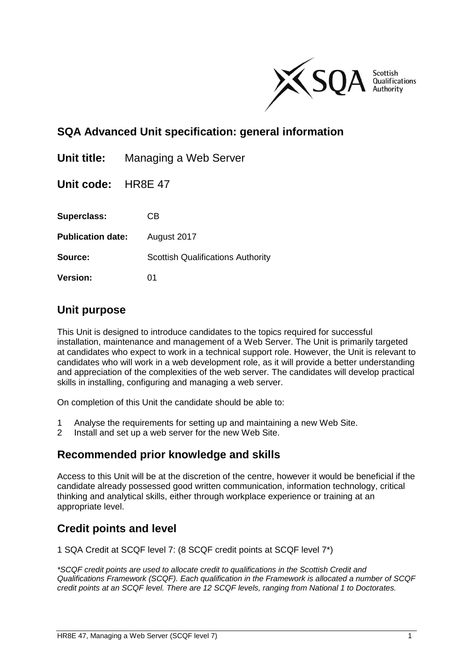

# **SQA Advanced Unit specification: general information**

| Unit title:              | Managing a Web Server                    |
|--------------------------|------------------------------------------|
| Unit code: HR8E 47       |                                          |
| <b>Superclass:</b>       | CВ                                       |
| <b>Publication date:</b> | August 2017                              |
| Source:                  | <b>Scottish Qualifications Authority</b> |
| <b>Version:</b>          | 01                                       |

### **Unit purpose**

This Unit is designed to introduce candidates to the topics required for successful installation, maintenance and management of a Web Server. The Unit is primarily targeted at candidates who expect to work in a technical support role. However, the Unit is relevant to candidates who will work in a web development role, as it will provide a better understanding and appreciation of the complexities of the web server. The candidates will develop practical skills in installing, configuring and managing a web server.

On completion of this Unit the candidate should be able to:

- 1 Analyse the requirements for setting up and maintaining a new Web Site.
- 2 Install and set up a web server for the new Web Site.

### **Recommended prior knowledge and skills**

Access to this Unit will be at the discretion of the centre, however it would be beneficial if the candidate already possessed good written communication, information technology, critical thinking and analytical skills, either through workplace experience or training at an appropriate level.

### **Credit points and level**

1 SQA Credit at SCQF level 7: (8 SCQF credit points at SCQF level 7\*)

*\*SCQF credit points are used to allocate credit to qualifications in the Scottish Credit and Qualifications Framework (SCQF). Each qualification in the Framework is allocated a number of SCQF credit points at an SCQF level. There are 12 SCQF levels, ranging from National 1 to Doctorates.*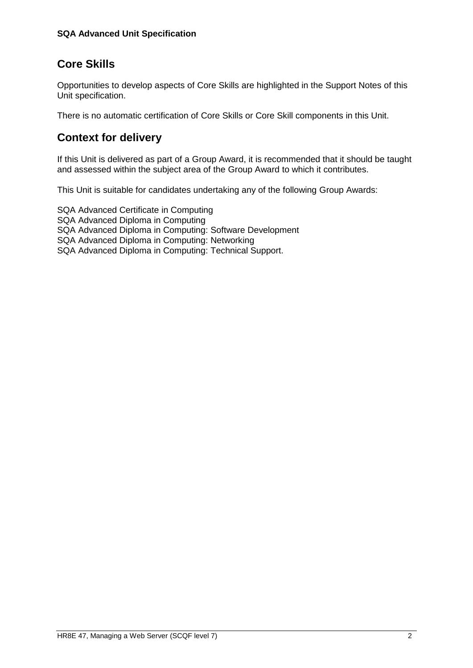# **Core Skills**

Opportunities to develop aspects of Core Skills are highlighted in the Support Notes of this Unit specification.

There is no automatic certification of Core Skills or Core Skill components in this Unit.

# **Context for delivery**

If this Unit is delivered as part of a Group Award, it is recommended that it should be taught and assessed within the subject area of the Group Award to which it contributes.

This Unit is suitable for candidates undertaking any of the following Group Awards:

SQA Advanced Certificate in Computing SQA Advanced Diploma in Computing SQA Advanced Diploma in Computing: Software Development SQA Advanced Diploma in Computing: Networking SQA Advanced Diploma in Computing: Technical Support.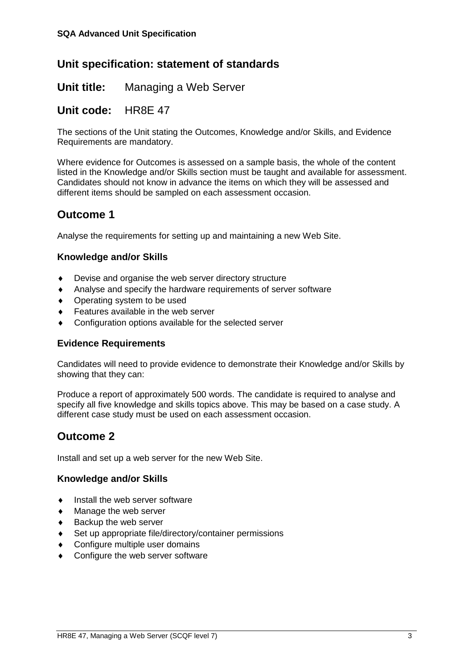## **Unit specification: statement of standards**

**Unit title:** Managing a Web Server

### **Unit code:** HR8E 47

The sections of the Unit stating the Outcomes, Knowledge and/or Skills, and Evidence Requirements are mandatory.

Where evidence for Outcomes is assessed on a sample basis, the whole of the content listed in the Knowledge and/or Skills section must be taught and available for assessment. Candidates should not know in advance the items on which they will be assessed and different items should be sampled on each assessment occasion.

## **Outcome 1**

Analyse the requirements for setting up and maintaining a new Web Site.

#### **Knowledge and/or Skills**

- Devise and organise the web server directory structure
- Analyse and specify the hardware requirements of server software
- Operating system to be used
- Features available in the web server
- Configuration options available for the selected server

#### **Evidence Requirements**

Candidates will need to provide evidence to demonstrate their Knowledge and/or Skills by showing that they can:

Produce a report of approximately 500 words. The candidate is required to analyse and specify all five knowledge and skills topics above. This may be based on a case study. A different case study must be used on each assessment occasion.

## **Outcome 2**

Install and set up a web server for the new Web Site.

#### **Knowledge and/or Skills**

- Install the web server software
- Manage the web server
- Backup the web server
- Set up appropriate file/directory/container permissions
- Configure multiple user domains
- Configure the web server software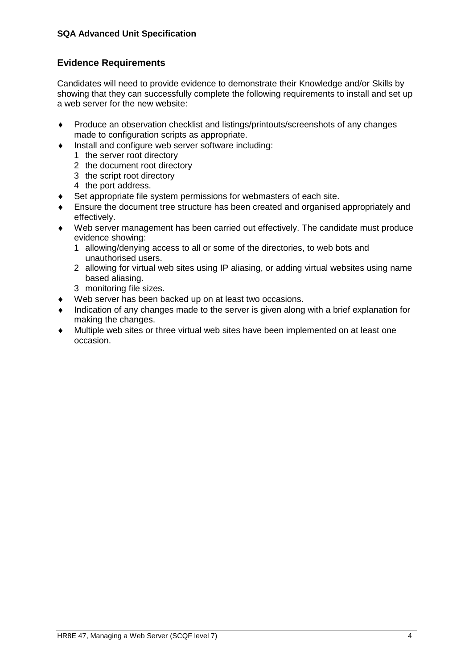#### **SQA Advanced Unit Specification**

#### **Evidence Requirements**

Candidates will need to provide evidence to demonstrate their Knowledge and/or Skills by showing that they can successfully complete the following requirements to install and set up a web server for the new website:

- Produce an observation checklist and listings/printouts/screenshots of any changes made to configuration scripts as appropriate.
- Install and configure web server software including:
	- 1 the server root directory
	- 2 the document root directory
	- 3 the script root directory
	- 4 the port address.
- ◆ Set appropriate file system permissions for webmasters of each site.
- Ensure the document tree structure has been created and organised appropriately and effectively.
- Web server management has been carried out effectively. The candidate must produce evidence showing:
	- 1 allowing/denying access to all or some of the directories, to web bots and unauthorised users.
	- 2 allowing for virtual web sites using IP aliasing, or adding virtual websites using name based aliasing.
	- 3 monitoring file sizes.
- Web server has been backed up on at least two occasions.
- Indication of any changes made to the server is given along with a brief explanation for making the changes.
- Multiple web sites or three virtual web sites have been implemented on at least one occasion.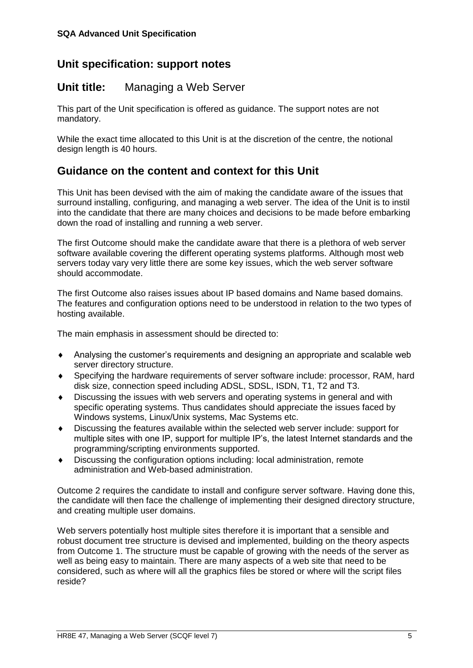## **Unit specification: support notes**

### **Unit title:** Managing a Web Server

This part of the Unit specification is offered as guidance. The support notes are not mandatory.

While the exact time allocated to this Unit is at the discretion of the centre, the notional design length is 40 hours.

### **Guidance on the content and context for this Unit**

This Unit has been devised with the aim of making the candidate aware of the issues that surround installing, configuring, and managing a web server. The idea of the Unit is to instil into the candidate that there are many choices and decisions to be made before embarking down the road of installing and running a web server.

The first Outcome should make the candidate aware that there is a plethora of web server software available covering the different operating systems platforms. Although most web servers today vary very little there are some key issues, which the web server software should accommodate.

The first Outcome also raises issues about IP based domains and Name based domains. The features and configuration options need to be understood in relation to the two types of hosting available.

The main emphasis in assessment should be directed to:

- Analysing the customer's requirements and designing an appropriate and scalable web server directory structure.
- Specifying the hardware requirements of server software include: processor, RAM, hard disk size, connection speed including ADSL, SDSL, ISDN, T1, T2 and T3.
- Discussing the issues with web servers and operating systems in general and with specific operating systems. Thus candidates should appreciate the issues faced by Windows systems, Linux/Unix systems, Mac Systems etc.
- Discussing the features available within the selected web server include: support for multiple sites with one IP, support for multiple IP's, the latest Internet standards and the programming/scripting environments supported.
- Discussing the configuration options including: local administration, remote administration and Web-based administration.

Outcome 2 requires the candidate to install and configure server software. Having done this, the candidate will then face the challenge of implementing their designed directory structure, and creating multiple user domains.

Web servers potentially host multiple sites therefore it is important that a sensible and robust document tree structure is devised and implemented, building on the theory aspects from Outcome 1. The structure must be capable of growing with the needs of the server as well as being easy to maintain. There are many aspects of a web site that need to be considered, such as where will all the graphics files be stored or where will the script files reside?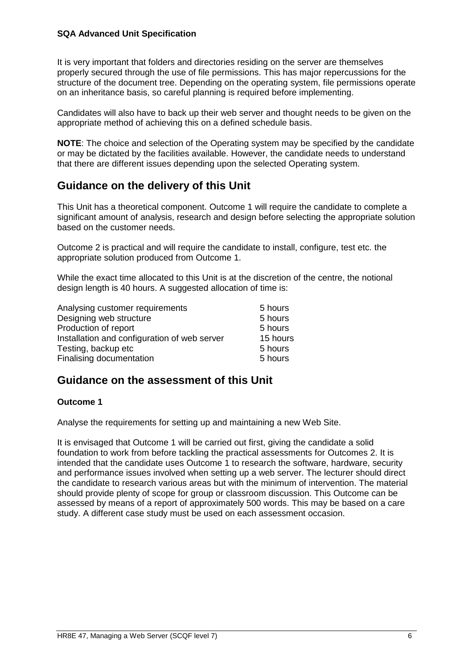#### **SQA Advanced Unit Specification**

It is very important that folders and directories residing on the server are themselves properly secured through the use of file permissions. This has major repercussions for the structure of the document tree. Depending on the operating system, file permissions operate on an inheritance basis, so careful planning is required before implementing.

Candidates will also have to back up their web server and thought needs to be given on the appropriate method of achieving this on a defined schedule basis.

**NOTE**: The choice and selection of the Operating system may be specified by the candidate or may be dictated by the facilities available. However, the candidate needs to understand that there are different issues depending upon the selected Operating system.

### **Guidance on the delivery of this Unit**

This Unit has a theoretical component. Outcome 1 will require the candidate to complete a significant amount of analysis, research and design before selecting the appropriate solution based on the customer needs.

Outcome 2 is practical and will require the candidate to install, configure, test etc. the appropriate solution produced from Outcome 1.

While the exact time allocated to this Unit is at the discretion of the centre, the notional design length is 40 hours. A suggested allocation of time is:

| Analysing customer requirements              | 5 hours  |
|----------------------------------------------|----------|
| Designing web structure                      | 5 hours  |
| Production of report                         | 5 hours  |
| Installation and configuration of web server | 15 hours |
| Testing, backup etc                          | 5 hours  |
| Finalising documentation                     | 5 hours  |

### **Guidance on the assessment of this Unit**

#### **Outcome 1**

Analyse the requirements for setting up and maintaining a new Web Site.

It is envisaged that Outcome 1 will be carried out first, giving the candidate a solid foundation to work from before tackling the practical assessments for Outcomes 2. It is intended that the candidate uses Outcome 1 to research the software, hardware, security and performance issues involved when setting up a web server. The lecturer should direct the candidate to research various areas but with the minimum of intervention. The material should provide plenty of scope for group or classroom discussion. This Outcome can be assessed by means of a report of approximately 500 words. This may be based on a care study. A different case study must be used on each assessment occasion.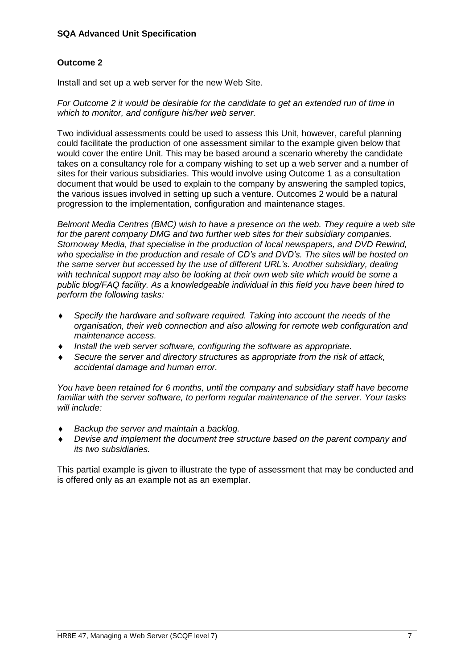#### **SQA Advanced Unit Specification**

#### **Outcome 2**

Install and set up a web server for the new Web Site.

*For Outcome 2 it would be desirable for the candidate to get an extended run of time in which to monitor, and configure his/her web server.* 

Two individual assessments could be used to assess this Unit, however, careful planning could facilitate the production of one assessment similar to the example given below that would cover the entire Unit. This may be based around a scenario whereby the candidate takes on a consultancy role for a company wishing to set up a web server and a number of sites for their various subsidiaries. This would involve using Outcome 1 as a consultation document that would be used to explain to the company by answering the sampled topics, the various issues involved in setting up such a venture. Outcomes 2 would be a natural progression to the implementation, configuration and maintenance stages.

*Belmont Media Centres (BMC) wish to have a presence on the web. They require a web site for the parent company DMG and two further web sites for their subsidiary companies. Stornoway Media, that specialise in the production of local newspapers, and DVD Rewind, who specialise in the production and resale of CD's and DVD's. The sites will be hosted on the same server but accessed by the use of different URL's. Another subsidiary, dealing with technical support may also be looking at their own web site which would be some a public blog/FAQ facility. As a knowledgeable individual in this field you have been hired to perform the following tasks:* 

- *Specify the hardware and software required. Taking into account the needs of the organisation, their web connection and also allowing for remote web configuration and maintenance access.*
- *Install the web server software, configuring the software as appropriate.*
- *Secure the server and directory structures as appropriate from the risk of attack, accidental damage and human error.*

*You have been retained for 6 months, until the company and subsidiary staff have become familiar with the server software, to perform regular maintenance of the server. Your tasks will include:* 

- *Backup the server and maintain a backlog.*
- *Devise and implement the document tree structure based on the parent company and its two subsidiaries.*

This partial example is given to illustrate the type of assessment that may be conducted and is offered only as an example not as an exemplar.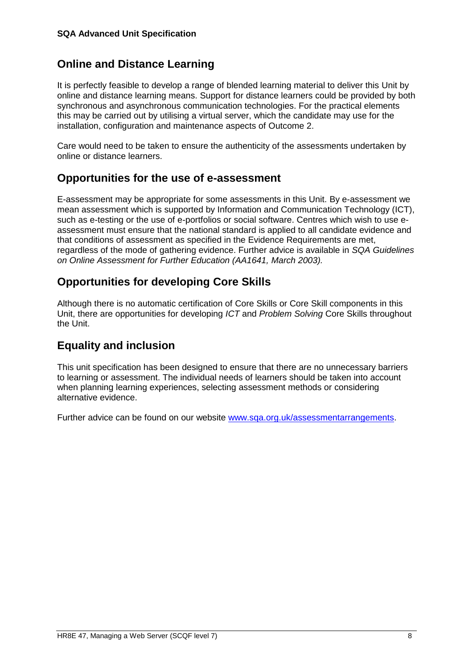# **Online and Distance Learning**

It is perfectly feasible to develop a range of blended learning material to deliver this Unit by online and distance learning means. Support for distance learners could be provided by both synchronous and asynchronous communication technologies. For the practical elements this may be carried out by utilising a virtual server, which the candidate may use for the installation, configuration and maintenance aspects of Outcome 2.

Care would need to be taken to ensure the authenticity of the assessments undertaken by online or distance learners.

### **Opportunities for the use of e-assessment**

E-assessment may be appropriate for some assessments in this Unit. By e-assessment we mean assessment which is supported by Information and Communication Technology (ICT), such as e-testing or the use of e-portfolios or social software. Centres which wish to use eassessment must ensure that the national standard is applied to all candidate evidence and that conditions of assessment as specified in the Evidence Requirements are met, regardless of the mode of gathering evidence. Further advice is available in *SQA Guidelines on Online Assessment for Further Education (AA1641, March 2003).*

# **Opportunities for developing Core Skills**

Although there is no automatic certification of Core Skills or Core Skill components in this Unit, there are opportunities for developing *ICT* and *Problem Solving* Core Skills throughout the Unit.

# **Equality and inclusion**

This unit specification has been designed to ensure that there are no unnecessary barriers to learning or assessment. The individual needs of learners should be taken into account when planning learning experiences, selecting assessment methods or considering alternative evidence.

Further advice can be found on our website [www.sqa.org.uk/assessmentarrangements.](http://www.sqa.org.uk/assessmentarrangements)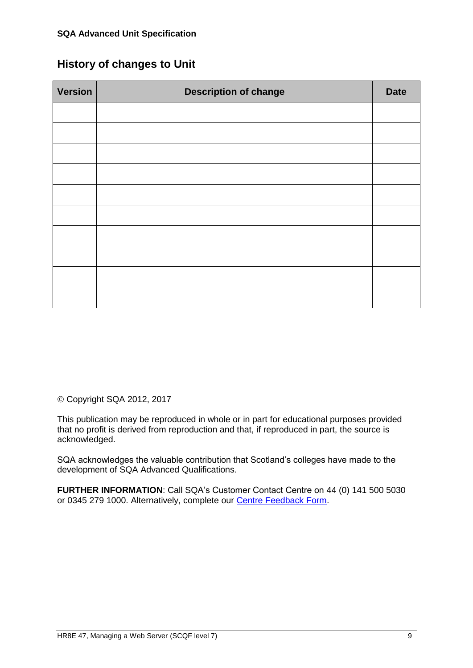## **History of changes to Unit**

| <b>Version</b> | <b>Description of change</b> | <b>Date</b> |
|----------------|------------------------------|-------------|
|                |                              |             |
|                |                              |             |
|                |                              |             |
|                |                              |             |
|                |                              |             |
|                |                              |             |
|                |                              |             |
|                |                              |             |
|                |                              |             |
|                |                              |             |

Copyright SQA 2012, 2017

This publication may be reproduced in whole or in part for educational purposes provided that no profit is derived from reproduction and that, if reproduced in part, the source is acknowledged.

SQA acknowledges the valuable contribution that Scotland's colleges have made to the development of SQA Advanced Qualifications.

**FURTHER INFORMATION**: Call SQA's Customer Contact Centre on 44 (0) 141 500 5030 or 0345 279 1000. Alternatively, complete our [Centre Feedback Form](https://www.sqa.org.uk/sqa/77338.html?id=2).